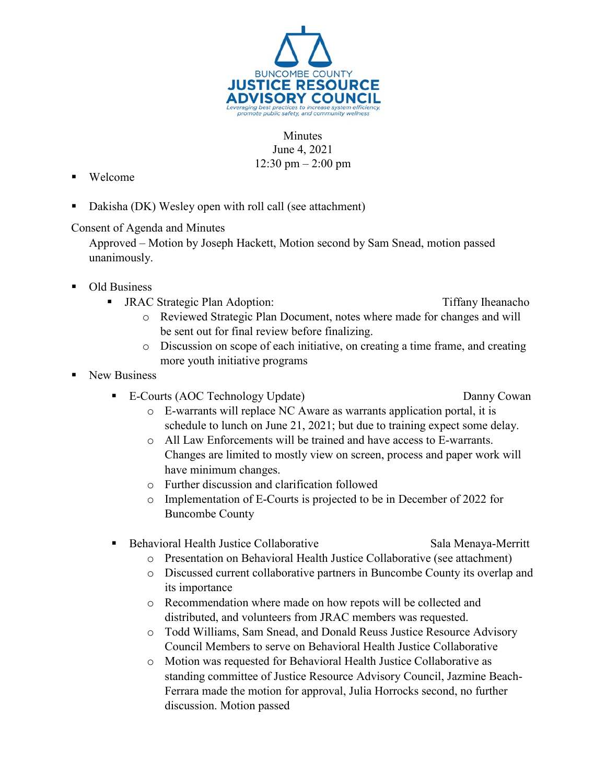

## **Minutes** June 4, 2021 12:30 pm – 2:00 pm

- Welcome
- Dakisha (DK) Wesley open with roll call (see attachment)

## Consent of Agenda and Minutes

Approved – Motion by Joseph Hackett, Motion second by Sam Snead, motion passed unanimously.

- Old Business
	- JRAC Strategic Plan Adoption: Tiffany Iheanacho
- - o Reviewed Strategic Plan Document, notes where made for changes and will be sent out for final review before finalizing.
	- o Discussion on scope of each initiative, on creating a time frame, and creating more youth initiative programs
- New Business
	- E-Courts (AOC Technology Update) Danny Cowan
		-
		- o E-warrants will replace NC Aware as warrants application portal, it is schedule to lunch on June 21, 2021; but due to training expect some delay.
		- o All Law Enforcements will be trained and have access to E-warrants. Changes are limited to mostly view on screen, process and paper work will have minimum changes.
		- o Further discussion and clarification followed
		- o Implementation of E-Courts is projected to be in December of 2022 for Buncombe County
	- Behavioral Health Justice Collaborative Sala Menaya-Merritt
		- o Presentation on Behavioral Health Justice Collaborative (see attachment)
		- o Discussed current collaborative partners in Buncombe County its overlap and its importance
		- o Recommendation where made on how repots will be collected and distributed, and volunteers from JRAC members was requested.
		- o Todd Williams, Sam Snead, and Donald Reuss Justice Resource Advisory Council Members to serve on Behavioral Health Justice Collaborative
		- o Motion was requested for Behavioral Health Justice Collaborative as standing committee of Justice Resource Advisory Council, Jazmine Beach-Ferrara made the motion for approval, Julia Horrocks second, no further discussion. Motion passed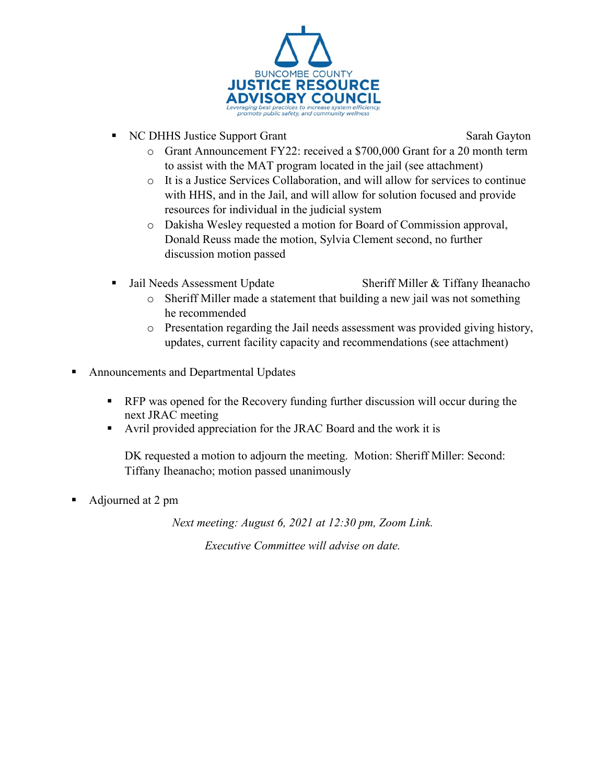

NC DHHS Justice Support Grant Sarah Gayton

- o Grant Announcement FY22: received a \$700,000 Grant for a 20 month term to assist with the MAT program located in the jail (see attachment)
- o It is a Justice Services Collaboration, and will allow for services to continue with HHS, and in the Jail, and will allow for solution focused and provide resources for individual in the judicial system
- o Dakisha Wesley requested a motion for Board of Commission approval, Donald Reuss made the motion, Sylvia Clement second, no further discussion motion passed
- 
- Jail Needs Assessment Update Sheriff Miller & Tiffany Iheanacho
	- o Sheriff Miller made a statement that building a new jail was not something he recommended
	- $\circ$  Presentation regarding the Jail needs assessment was provided giving history, updates, current facility capacity and recommendations (see attachment)
- Announcements and Departmental Updates
	- **RFP** was opened for the Recovery funding further discussion will occur during the next JRAC meeting
	- Avril provided appreciation for the JRAC Board and the work it is

DK requested a motion to adjourn the meeting. Motion: Sheriff Miller: Second: Tiffany Iheanacho; motion passed unanimously

Adjourned at 2 pm

*Next meeting: August 6, 2021 at 12:30 pm, Zoom Link. Executive Committee will advise on date.*